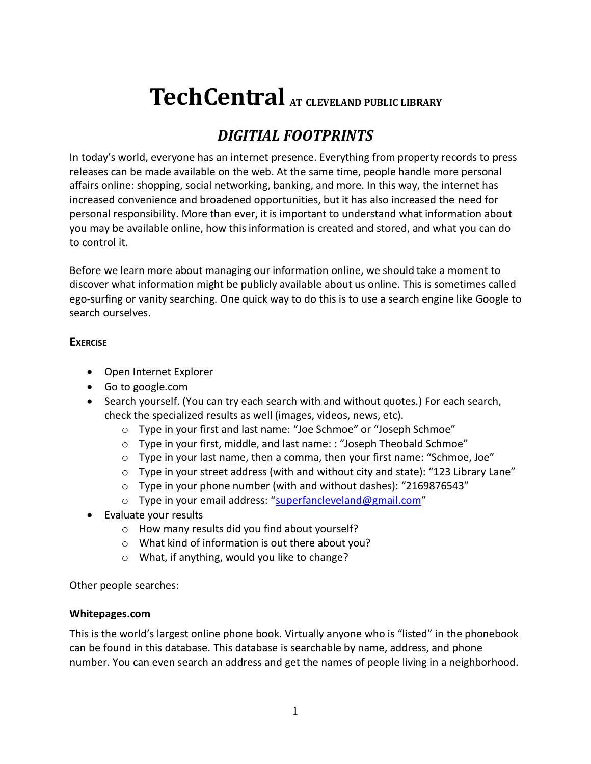# **TechCentral AT CLEVELAND PUBLIC LIBRARY**

# *DIGITIAL FOOTPRINTS*

In today's world, everyone has an internet presence. Everything from property records to press releases can be made available on the web. At the same time, people handle more personal affairs online: shopping, social networking, banking, and more. In this way, the internet has increased convenience and broadened opportunities, but it has also increased the need for personal responsibility. More than ever, it is important to understand what information about you may be available online, how this information is created and stored, and what you can do to control it.

Before we learn more about managing our information online, we should take a moment to discover what information might be publicly available about us online. This is sometimes called ego-surfing or vanity searching. One quick way to do this is to use a search engine like Google to search ourselves.

# **EXERCISE**

- Open Internet Explorer
- Go to google.com
- Search yourself. (You can try each search with and without quotes.) For each search, check the specialized results as well (images, videos, news, etc).
	- o Type in your first and last name: "Joe Schmoe" or "Joseph Schmoe"
	- o Type in your first, middle, and last name: : "Joseph Theobald Schmoe"
	- $\circ$  Type in your last name, then a comma, then your first name: "Schmoe, Joe"
	- o Type in your street address (with and without city and state): "123 Library Lane"
	- o Type in your phone number (with and without dashes): "2169876543"
	- o Type in your email address: "[superfancleveland@gmail.com](mailto:superfancleveland@gmail.com)"
- Evaluate your results
	- o How many results did you find about yourself?
	- o What kind of information is out there about you?
	- o What, if anything, would you like to change?

Other people searches:

# **Whitepages.com**

This is the world's largest online phone book. Virtually anyone who is "listed" in the phonebook can be found in this database. This database is searchable by name, address, and phone number. You can even search an address and get the names of people living in a neighborhood.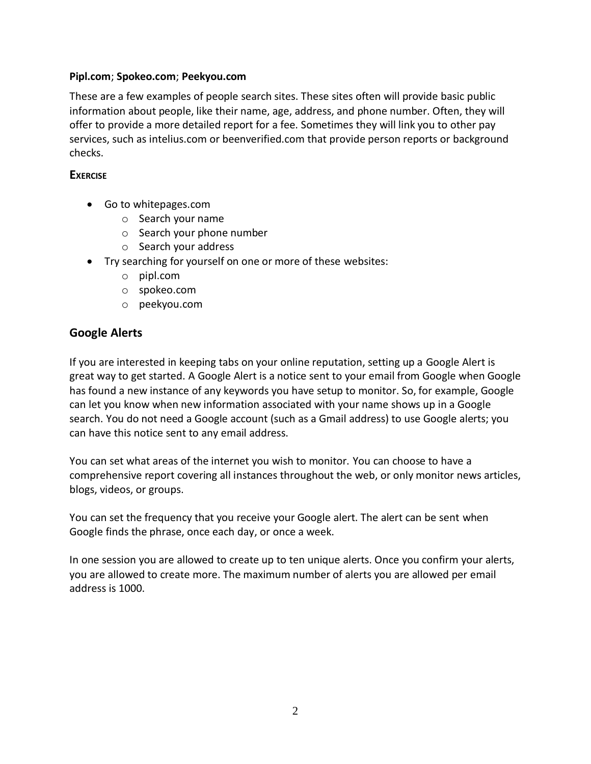# **Pipl.com**; **Spokeo.com**; **Peekyou.com**

These are a few examples of people search sites. These sites often will provide basic public information about people, like their name, age, address, and phone number. Often, they will offer to provide a more detailed report for a fee. Sometimes they will link you to other pay services, such as intelius.com or beenverified.com that provide person reports or background checks.

# **EXERCISE**

- Go to whitepages.com
	- o Search your name
	- o Search your phone number
	- o Search your address
- Try searching for yourself on one or more of these websites:
	- o pipl.com
	- o spokeo.com
	- o peekyou.com

# **Google Alerts**

If you are interested in keeping tabs on your online reputation, setting up a Google Alert is great way to get started. A Google Alert is a notice sent to your email from Google when Google has found a new instance of any keywords you have setup to monitor. So, for example, Google can let you know when new information associated with your name shows up in a Google search. You do not need a Google account (such as a Gmail address) to use Google alerts; you can have this notice sent to any email address.

You can set what areas of the internet you wish to monitor. You can choose to have a comprehensive report covering all instances throughout the web, or only monitor news articles, blogs, videos, or groups.

You can set the frequency that you receive your Google alert. The alert can be sent when Google finds the phrase, once each day, or once a week.

In one session you are allowed to create up to ten unique alerts. Once you confirm your alerts, you are allowed to create more. The maximum number of alerts you are allowed per email address is 1000.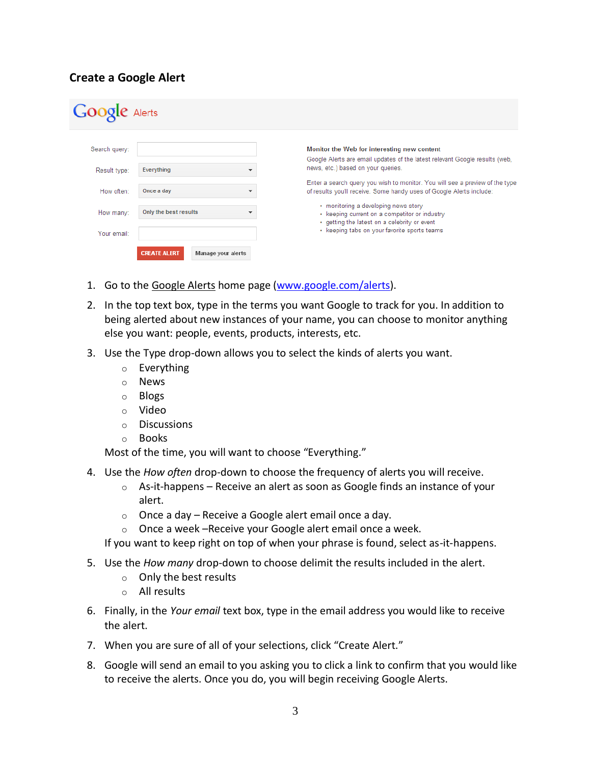# **Create a Google Alert**

| <b>Google</b> Alerts |                                                  |                                                                                                                                                      |
|----------------------|--------------------------------------------------|------------------------------------------------------------------------------------------------------------------------------------------------------|
| Search query:        |                                                  | Monitor the Web for interesting new content<br>Google Alerts are email updates of the latest relevant Google results (web,                           |
| Result type:         | Everything                                       | news, etc.) based on your queries.                                                                                                                   |
| How often:           | Once a day                                       | Enter a search query you wish to monitor. You will see a preview of the type<br>of results you'll receive. Some handy uses of Google Alerts include: |
| How many:            | Only the best results                            | • monitoring a developing news story<br>• keeping current on a competitor or industry<br>• getting the latest on a celebrity or event                |
| Your email:          |                                                  | • keeping tabs on your favorite sports teams                                                                                                         |
|                      | <b>CREATE ALERT</b><br><b>Manage your alerts</b> |                                                                                                                                                      |

- 1. Go to th[e Google Alerts](http://www.google.com/alerts) home page [\(www.google.com/alerts\)](http://www.google.com/alerts).
- 2. In the top text box, type in the terms you want Google to track for you. In addition to being alerted about new instances of your name, you can choose to monitor anything else you want: people, events, products, interests, etc.
- 3. Use the Type drop-down allows you to select the kinds of alerts you want.
	- o Everything
	- o News
	- o Blogs
	- o Video
	- o Discussions
	- o Books

Most of the time, you will want to choose "Everything."

- 4. Use the *How often* drop-down to choose the frequency of alerts you will receive.
	- $\circ$  As-it-happens Receive an alert as soon as Google finds an instance of your alert.
	- $\circ$  Once a day Receive a Google alert email once a day.
	- o Once a week –Receive your Google alert email once a week.

If you want to keep right on top of when your phrase is found, select as-it-happens.

- 5. Use the *How many* drop-down to choose delimit the results included in the alert.
	- o Only the best results
	- o All results
- 6. Finally, in the *Your email* text box, type in the email address you would like to receive the alert.
- 7. When you are sure of all of your selections, click "Create Alert."
- 8. Google will send an email to you asking you to click a link to confirm that you would like to receive the alerts. Once you do, you will begin receiving Google Alerts.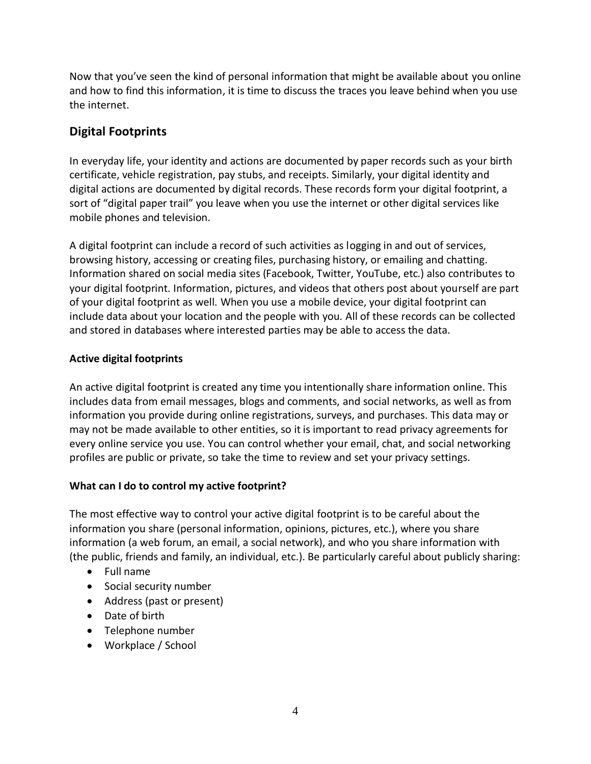Now that you've seen the kind of personal information that might be available about you online and how to find this information, it is time to discuss the traces you leave behind when you use the internet.

# **Digital Footprints**

In everyday life, your identity and actions are documented by paper records such as your birth certificate, vehicle registration, pay stubs, and receipts. Similarly, your digital identity and digital actions are documented by digital records. These records form your digital footprint, a sort of "digital paper trail" you leave when you use the internet or other digital services like mobile phones and television.

A digital footprint can include a record of such activities as logging in and out of services, browsing history, accessing or creating files, purchasing history, or emailing and chatting. Information shared on social media sites (Facebook, Twitter, YouTube, etc.) also contributes to your digital footprint. Information, pictures, and videos that others post about yourself are part of your digital footprint as well. When you use a mobile device, your digital footprint can include data about your location and the people with you. All of these records can be collected and stored in databases where interested parties may be able to access the data.

# **Active digital footprints**

An active digital footprint is created any time you intentionally share information online. This includes data from email messages, blogs and comments, and social networks, as well as from information you provide during online registrations, surveys, and purchases. This data may or may not be made available to other entities, so it is important to read privacy agreements for every online service you use. You can control whether your email, chat, and social networking profiles are public or private, so take the time to review and set your privacy settings.

# **What can I do to control my active footprint?**

The most effective way to control your active digital footprint is to be careful about the information you share (personal information, opinions, pictures, etc.), where you share information (a web forum, an email, a social network), and who you share information with (the public, friends and family, an individual, etc.). Be particularly careful about publicly sharing:

- Full name
- Social security number
- Address (past or present)
- Date of birth
- Telephone number
- Workplace / School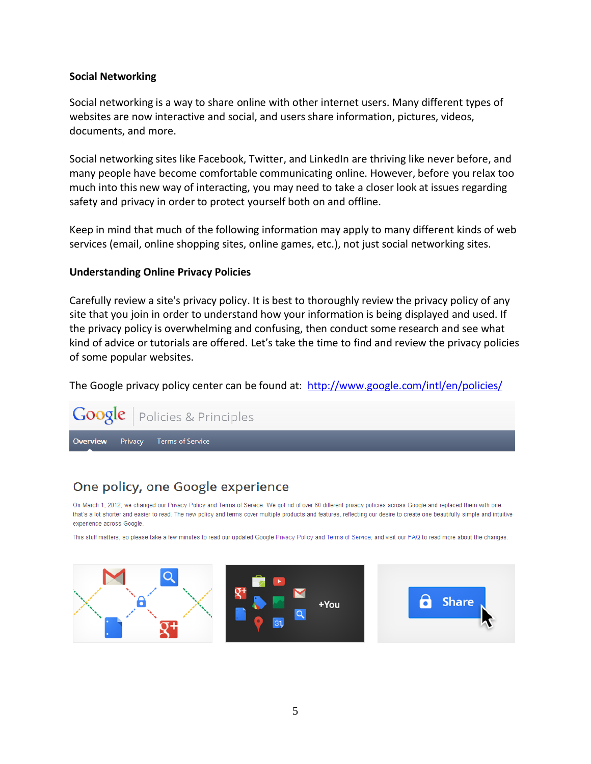## **Social Networking**

Social networking is a way to share online with other internet users. Many different types of websites are now interactive and social, and users share information, pictures, videos, documents, and more.

Social networking sites like Facebook, Twitter, and LinkedIn are thriving like never before, and many people have become comfortable communicating online. However, before you relax too much into this new way of interacting, you may need to take a closer look at issues regarding safety and privacy in order to protect yourself both on and offline.

Keep in mind that much of the following information may apply to many different kinds of web services (email, online shopping sites, online games, etc.), not just social networking sites.

## **Understanding Online Privacy Policies**

Carefully review a site's privacy policy. It is best to thoroughly review the privacy policy of any site that you join in order to understand how your information is being displayed and used. If the privacy policy is overwhelming and confusing, then conduct some research and see what kind of advice or tutorials are offered. Let's take the time to find and review the privacy policies of some popular websites.

The Google privacy policy center can be found at: <http://www.google.com/intl/en/policies/>



# One policy, one Google experience

On March 1, 2012, we changed our Privacy Policy and Terms of Service. We got rid of over 60 different privacy policies across Google and replaced them with one that's a lot shorter and easier to read. The new policy and terms cover multiple products and features, reflecting our desire to create one beautifully simple and intuitive experience across Google.

This stuff matters, so please take a few minutes to read our updated Google Privacy Policy and Terms of Service, and visit our FAQ to read more about the changes.

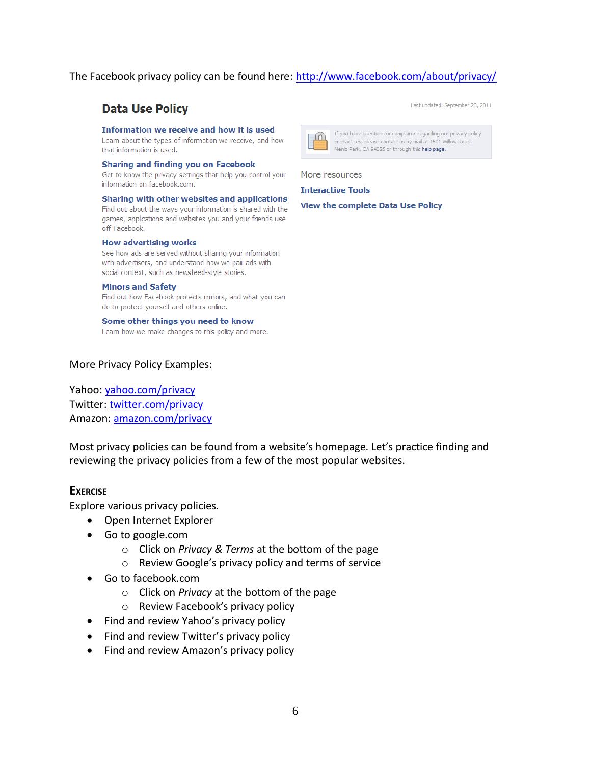# The Facebook privacy policy can be found here:<http://www.facebook.com/about/privacy/>

# **Data Use Policy**

#### Information we receive and how it is used

Learn about the types of information we receive, and how that information is used.

Sharing and finding you on Facebook Get to know the privacy settings that help you control your

information on facebook.com. Sharing with other websites and applications

Find out about the ways your information is shared with the games, applications and websites you and your friends use off Facebook.

#### **How advertising works**

See how ads are served without sharing your information with advertisers, and understand how we pair ads with social context, such as newsfeed-style stories.

#### **Minors and Safety**

Find out how Facebook protects minors, and what you can do to protect yourself and others online.

#### Some other things you need to know

Learn how we make changes to this policy and more.

#### More Privacy Policy Examples:

Yahoo[: yahoo.com/privacy](http://info.yahoo.com/privacy/us/yahoo/details.html) Twitter: [twitter.com/privacy](http://twitter.com/privacy) Amazon: [amazon.com/privacy](http://amazon.com/privacy)

Most privacy policies can be found from a website's homepage. Let's practice finding and reviewing the privacy policies from a few of the most popular websites.

## **EXERCISE**

Explore various privacy policies.

- Open Internet Explorer
- Go to google.com
	- o Click on *Privacy & Terms* at the bottom of the page
	- o Review Google's privacy policy and terms of service
- Go to facebook.com
	- o Click on *Privacy* at the bottom of the page
	- o Review Facebook's privacy policy
- Find and review Yahoo's privacy policy
- Find and review Twitter's privacy policy
- Find and review Amazon's privacy policy





If you have questions or complaints regarding our privacy policy or practices, please contact us by mail at 1601 Willow Road, Menlo Park, CA 94025 or through this help page.

More resources

**Interactive Tools** 

View the complete Data Use Policy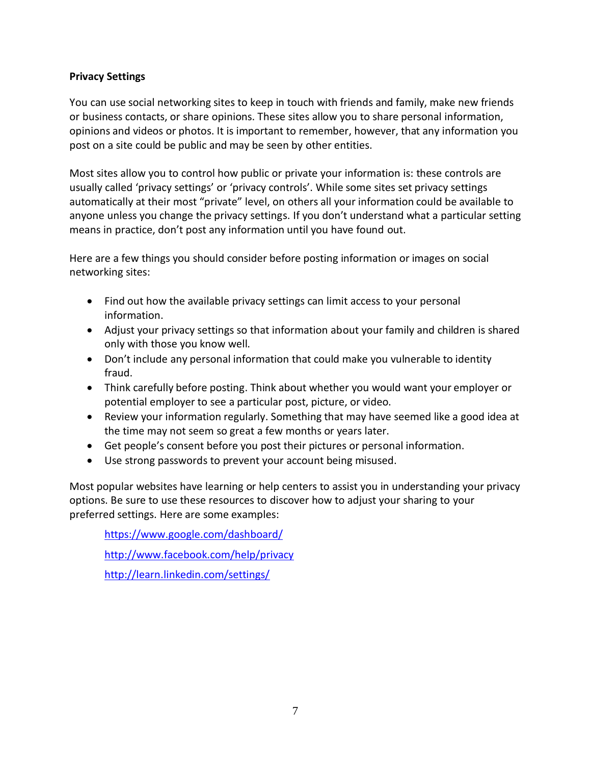# **Privacy Settings**

You can use social networking sites to keep in touch with friends and family, make new friends or business contacts, or share opinions. These sites allow you to share personal information, opinions and videos or photos. It is important to remember, however, that any information you post on a site could be public and may be seen by other entities.

Most sites allow you to control how public or private your information is: these controls are usually called 'privacy settings' or 'privacy controls'. While some sites set privacy settings automatically at their most "private" level, on others all your information could be available to anyone unless you change the privacy settings. If you don't understand what a particular setting means in practice, don't post any information until you have found out.

Here are a few things you should consider before posting information or images on social networking sites:

- Find out how the available privacy settings can limit access to your personal information.
- Adjust your privacy settings so that information about your family and children is shared only with those you know well.
- Don't include any personal information that could make you vulnerable to identity fraud.
- Think carefully before posting. Think about whether you would want your employer or potential employer to see a particular post, picture, or video.
- Review your information regularly. Something that may have seemed like a good idea at the time may not seem so great a few months or years later.
- Get people's consent before you post their pictures or personal information.
- Use strong passwords to prevent your account being misused.

Most popular websites have learning or help centers to assist you in understanding your privacy options. Be sure to use these resources to discover how to adjust your sharing to your preferred settings. Here are some examples:

<https://www.google.com/dashboard/> <http://www.facebook.com/help/privacy> <http://learn.linkedin.com/settings/>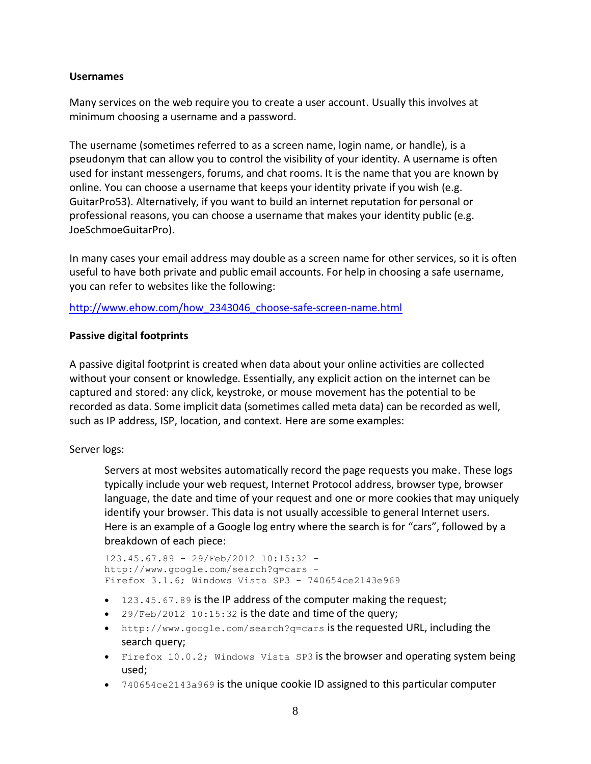# **Usernames**

Many services on the web require you to create a user account. Usually this involves at minimum choosing a username and a password.

The username (sometimes referred to as a screen name, login name, or handle), is a pseudonym that can allow you to control the visibility of your identity. A username is often used for instant messengers, forums, and chat rooms. It is the name that you are known by online. You can choose a username that keeps your identity private if you wish (e.g. GuitarPro53). Alternatively, if you want to build an internet reputation for personal or professional reasons, you can choose a username that makes your identity public (e.g. JoeSchmoeGuitarPro).

In many cases your email address may double as a screen name for other services, so it is often useful to have both private and public email accounts. For help in choosing a safe username, you can refer to websites like the following:

[http://www.ehow.com/how\\_2343046\\_choose-safe-screen-name.html](http://www.ehow.com/how_2343046_choose-safe-screen-name.html)

# **Passive digital footprints**

A passive digital footprint is created when data about your online activities are collected without your consent or knowledge. Essentially, any explicit action on the internet can be captured and stored: any click, keystroke, or mouse movement has the potential to be recorded as data. Some implicit data (sometimes called meta data) can be recorded as well, such as IP address, ISP, location, and context. Here are some examples:

# Server logs:

Servers at most websites automatically record the page requests you make. These logs typically include your web request, Internet Protocol address, browser type, browser language, the date and time of your request and one or more cookies that may uniquely identify your browser. This data is not usually accessible to general Internet users. Here is an example of a Google log entry where the search is for "cars", followed by a breakdown of each piece:

```
123.45.67.89 - 29/Feb/2012 10:15:32 -
http://www.google.com/search?q=cars -
Firefox 3.1.6; Windows Vista SP3 - 740654ce2143e969
```
- 123.45.67.89 is the IP address of the computer making the request;
- $\bullet$  29/Feb/2012 10:15:32 is the date and time of the query;
- <http://www.google.com/search?q=cars> is the requested URL, including the search query;
- Firefox 10.0.2; Windows Vista SP3 is the browser and operating system being used;
- 740654ce2143a969 is the unique cookie ID assigned to this particular computer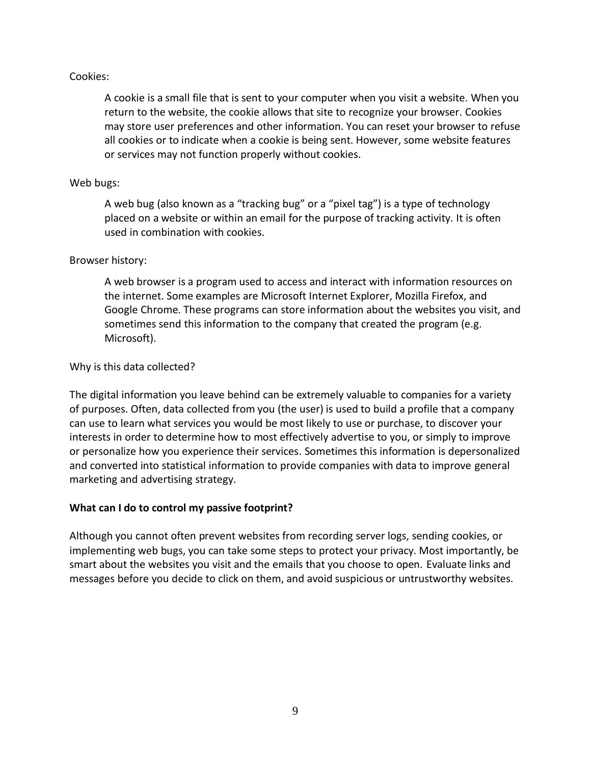# Cookies:

A cookie is a small file that is sent to your computer when you visit a website. When you return to the website, the cookie allows that site to recognize your browser. Cookies may store user preferences and other information. You can reset your browser to refuse all cookies or to indicate when a cookie is being sent. However, some website features or services may not function properly without cookies.

# Web bugs:

A web bug (also known as a "tracking bug" or a "pixel tag") is a type of technology placed on a website or within an email for the purpose of tracking activity. It is often used in combination with cookies.

# Browser history:

A web browser is a program used to access and interact with information resources on the internet. Some examples are Microsoft Internet Explorer, Mozilla Firefox, and Google Chrome. These programs can store information about the websites you visit, and sometimes send this information to the company that created the program (e.g. Microsoft).

# Why is this data collected?

The digital information you leave behind can be extremely valuable to companies for a variety of purposes. Often, data collected from you (the user) is used to build a profile that a company can use to learn what services you would be most likely to use or purchase, to discover your interests in order to determine how to most effectively advertise to you, or simply to improve or personalize how you experience their services. Sometimes this information is depersonalized and converted into statistical information to provide companies with data to improve general marketing and advertising strategy.

# **What can I do to control my passive footprint?**

Although you cannot often prevent websites from recording server logs, sending cookies, or implementing web bugs, you can take some steps to protect your privacy. Most importantly, be smart about the websites you visit and the emails that you choose to open. Evaluate links and messages before you decide to click on them, and avoid suspicious or untrustworthy websites.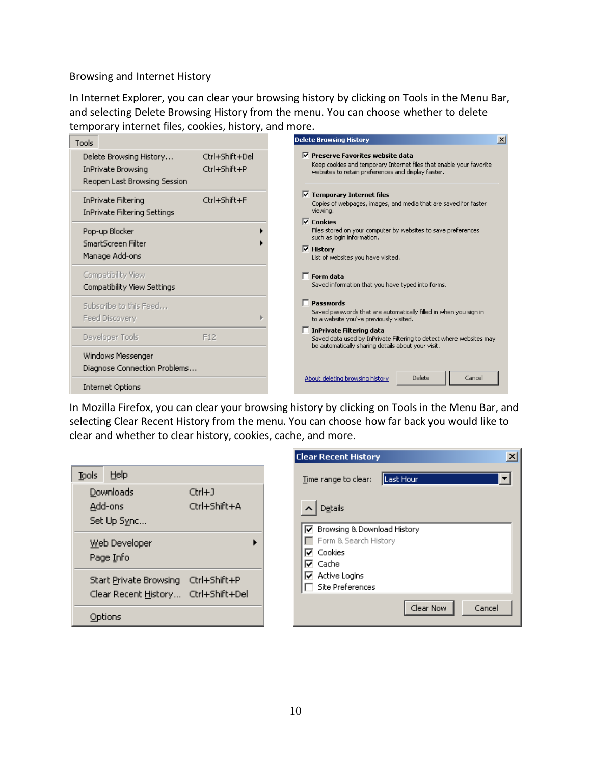Browsing and Internet History

In Internet Explorer, you can clear your browsing history by clicking on Tools in the Menu Bar, and selecting Delete Browsing History from the menu. You can choose whether to delete temporary internet files, cookies, history, and more.

| Tools                                                                         |                                | <b>Delete Browsing History</b>                                                                                                                                                     |
|-------------------------------------------------------------------------------|--------------------------------|------------------------------------------------------------------------------------------------------------------------------------------------------------------------------------|
| Delete Browsing History<br>InPrivate Browsing<br>Reopen Last Browsing Session | Ctrl+Shift+Del<br>Ctrl+Shift+P | $\triangledown$ Preserve Favorites website data<br>Keep cookies and temporary Internet files that enable your favorite<br>websites to retain preferences and display faster.       |
| <b>InPrivate Filtering</b><br>InPrivate Filtering Settings                    | Ctrl+Shift+F                   | $\triangledown$ Temporary Internet files<br>Copies of webpages, images, and media that are saved for faster<br>viewing.                                                            |
| Pop-up Blocker<br>SmartScreen Filter<br>Manage Add-ons                        |                                | $\nabla$ Cookies<br>Files stored on your computer by websites to save preferences<br>such as login information.<br>$\overline{\vee}$ History<br>List of websites you have visited. |
| Compatibility View<br>Compatibility View Settings                             |                                | $\Box$ Form data<br>Saved information that you have typed into forms.                                                                                                              |
| Subscribe to this Feed<br>Feed Discovery                                      |                                | $\Box$ Passwords<br>Saved passwords that are automatically filled in when you sign in<br>to a website you've previously visited.                                                   |
| Developer Tools                                                               | F12                            | $\Box$ InPrivate Filtering data<br>Saved data used by InPrivate Filtering to detect where websites may<br>be automatically sharing details about your visit.                       |
| Windows Messenger<br>Diagnose Connection Problems                             |                                |                                                                                                                                                                                    |
| <b>Internet Options</b>                                                       |                                | Delete<br>About deleting browsing history<br>Cancel                                                                                                                                |

In Mozilla Firefox, you can clear your browsing history by clicking on Tools in the Menu Bar, and selecting Clear Recent History from the menu. You can choose how far back you would like to clear and whether to clear history, cookies, cache, and more.

|       |                                     |              | ucc                  |
|-------|-------------------------------------|--------------|----------------------|
| Tools | Help                                |              | Iin                  |
|       | Downloads                           | Ctrl+J       |                      |
|       | Add-ons                             | Ctrl+Shift+A |                      |
|       | Set Up Sync                         |              | ⊽                    |
|       | Web Developer                       |              |                      |
|       |                                     |              | $\overline{\bullet}$ |
|       | Start Private Browsing Ctrl+Shift+P |              | ⊽                    |
|       | Clear Recent History Ctrl+Shift+Del |              |                      |
|       | Options                             |              |                      |
|       | Page Info                           |              |                      |

| <b>Clear Recent History</b>       |  |
|-----------------------------------|--|
| Last Hour<br>Time range to clear: |  |
| Details                           |  |
| Browsing & Download History<br>∨  |  |
| Form & Search History             |  |
| Cookies                           |  |
| Cache                             |  |
| Active Logins                     |  |
| <b>Site Preferences</b>           |  |
| Clear Now<br>Cancel               |  |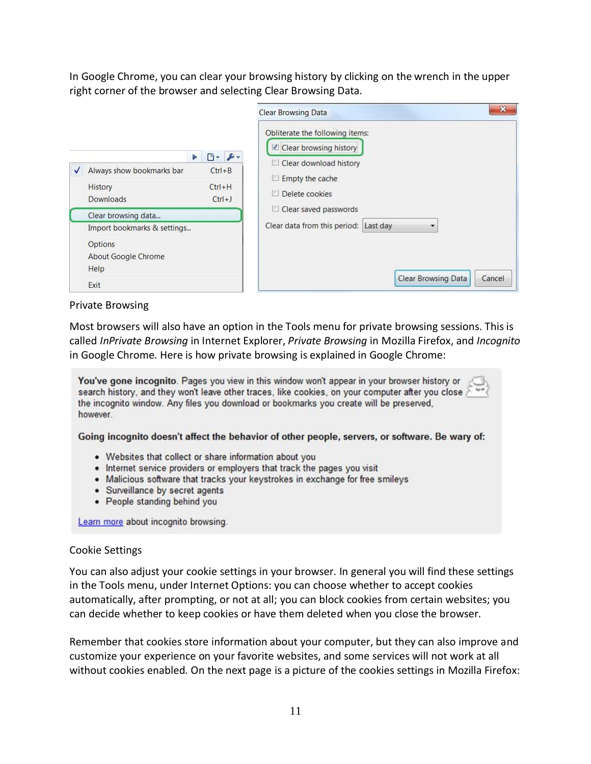In Google Chrome, you can clear your browsing history by clicking on the wrench in the upper right corner of the browser and selecting Clear Browsing Data.

 $\sim$ 

|   |                                                                                                                                   | Clear Browsing Data                                                                                                                           |  |  |
|---|-----------------------------------------------------------------------------------------------------------------------------------|-----------------------------------------------------------------------------------------------------------------------------------------------|--|--|
| √ | $\mathbb{R}$ + $\mathbb{R}$ +<br>ь<br>Always show bookmarks bar<br>$Ctrl + B$<br>$Ctrl + H$<br>History<br>Downloads<br>$Ctrl + J$ | Obliterate the following items:<br>■ Clear browsing history<br>Clear download history<br>L<br>Empty the cache<br><b>ISS</b><br>Delete cookies |  |  |
|   | Clear browsing data                                                                                                               | Clear saved passwords<br>U.                                                                                                                   |  |  |
|   | Import bookmarks & settings                                                                                                       | Clear data from this period: Last day                                                                                                         |  |  |
|   | <b>Options</b><br>About Google Chrome<br>Help                                                                                     |                                                                                                                                               |  |  |
|   | Exit                                                                                                                              | <b>Clear Browsing Data</b><br>Cancel                                                                                                          |  |  |

# Private Browsing

Most browsers will also have an option in the Tools menu for private browsing sessions. This is called *InPrivate Browsing* in Internet Explorer, *Private Browsing* in Mozilla Firefox, and *Incognito* in Google Chrome. Here is how private browsing is explained in Google Chrome:

| You've gone incognito. Pages you view in this window won't appear in your browser history or<br>O<br>$\sqrt{2}$<br>search history, and they won't leave other traces, like cookies, on your computer after you close<br>the incognito window. Any files you download or bookmarks you create will be preserved,<br>however |
|----------------------------------------------------------------------------------------------------------------------------------------------------------------------------------------------------------------------------------------------------------------------------------------------------------------------------|
| Going incognito doesn't affect the behavior of other people, servers, or software. Be wary of:                                                                                                                                                                                                                             |
| • Websites that collect or share information about you<br>• Internet service providers or employers that track the pages you visit                                                                                                                                                                                         |
| • Malicious software that tracks your keystrokes in exchange for free smileys<br>• Surveillance by secret agents                                                                                                                                                                                                           |
| • People standing behind you                                                                                                                                                                                                                                                                                               |
| Learn more about incognito browsing.                                                                                                                                                                                                                                                                                       |

# Cookie Settings

You can also adjust your cookie settings in your browser. In general you will find these settings in the Tools menu, under Internet Options: you can choose whether to accept cookies automatically, after prompting, or not at all; you can block cookies from certain websites; you can decide whether to keep cookies or have them deleted when you close the browser.

Remember that cookies store information about your computer, but they can also improve and customize your experience on your favorite websites, and some services will not work at all without cookies enabled. On the next page is a picture of the cookies settings in Mozilla Firefox: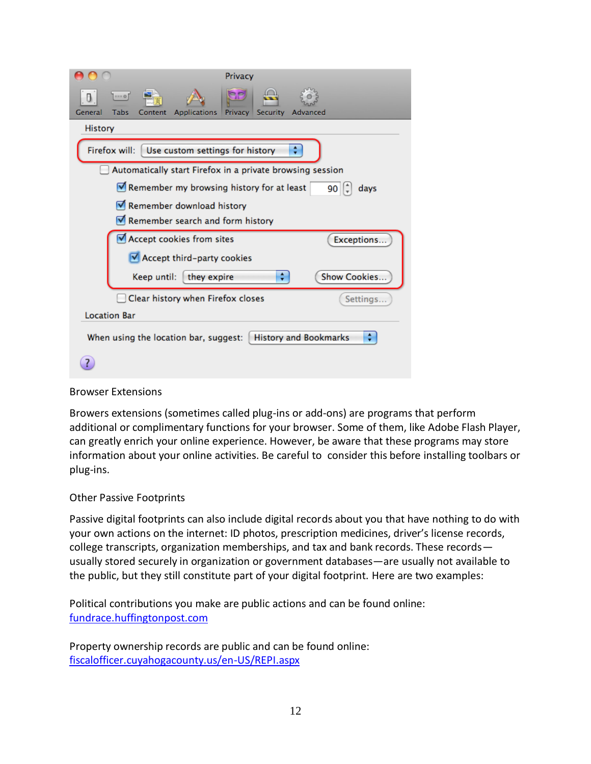| Privacy                                                                                          |
|--------------------------------------------------------------------------------------------------|
| HHH @<br>U.<br><b>Applications</b><br>Privacy Security<br>General<br>Tabs<br>Content<br>Advanced |
| History                                                                                          |
| ÷<br>Firefox will:<br>Use custom settings for history                                            |
| Automatically start Firefox in a private browsing session                                        |
| Remember my browsing history for at least<br>90 I J<br>days                                      |
| Remember download history                                                                        |
| Remember search and form history                                                                 |
| Accept cookies from sites<br>Exceptions                                                          |
| Accept third-party cookies                                                                       |
| Show Cookies<br>÷<br>Keep until:<br>they expire                                                  |
| Clear history when Firefox closes<br>Settings                                                    |
| <b>Location Bar</b>                                                                              |
| <b>History and Bookmarks</b><br>When using the location bar, suggest:                            |
|                                                                                                  |

# Browser Extensions

Browers extensions (sometimes called plug-ins or add-ons) are programs that perform additional or complimentary functions for your browser. Some of them, like Adobe Flash Player, can greatly enrich your online experience. However, be aware that these programs may store information about your online activities. Be careful to consider this before installing toolbars or plug-ins.

# Other Passive Footprints

Passive digital footprints can also include digital records about you that have nothing to do with your own actions on the internet: ID photos, prescription medicines, driver's license records, college transcripts, organization memberships, and tax and bank records. These records usually stored securely in organization or government databases—are usually not available to the public, but they still constitute part of your digital footprint. Here are two examples:

Political contributions you make are public actions and can be found online: [fundrace.huffingtonpost.com](file:///C:/Users/Tech1/AppData/Local/Microsoft/Windows/Temporary%20Internet%20Files/Content.IE5/CJUTN5O0/fundrace.huffingtonpost.com)

Property ownership records are public and can be found online: [fiscalofficer.cuyahogacounty.us/en-US/REPI.aspx](file:///C:/Users/Tech1/AppData/Local/Microsoft/Windows/Temporary%20Internet%20Files/Content.IE5/CJUTN5O0/fiscalofficer.cuyahogacounty.us/en-US/REPI.aspx)